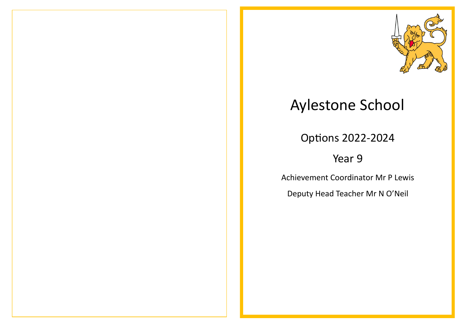

## Aylestone School

Options 2022-2024

## Year 9

Achievement Coordinator Mr P Lewis

Deputy Head Teacher Mr N O'Neil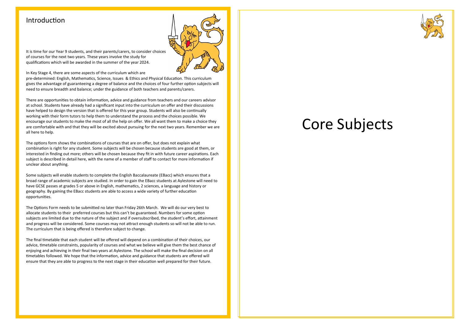### Introduction



It is time for our Year 9 students, and their parents/carers, to consider choices of courses for the next two years. These years involve the study for qualifications which will be awarded in the summer of the year 2024.

#### In Key Stage 4, there are some aspects of the curriculum which are

pre-determined: English, Mathematics, Science, Issues & Ethics and Physical Education. This curriculum gives the advantage of guaranteeing a degree of balance and the choices of four further option subjects will need to ensure breadth and balance; under the guidance of both teachers and parents/carers.

There are opportunities to obtain information, advice and guidance from teachers and our careers advisor at school. Students have already had a significant input into the curriculum on offer and their discussions have helped to design the version that is offered for this year group. Students will also be continually working with their form tutors to help them to understand the process and the choices possible. We encourage our students to make the most of all the help on offer. We all want them to make a choice they are comfortable with and that they will be excited about pursuing for the next two years. Remember we are all here to help.

The options form shows the combinations of courses that are on offer, but does not explain what combination is right for any student. Some subjects will be chosen because students are good at them, or interested in finding out more; others will be chosen because they fit in with future career aspirations. Each subject is described in detail here, with the name of a member of staff to contact for more information if unclear about anything.

Some subjects will enable students to complete the English Baccalaureate (EBacc) which ensures that a broad range of academic subjects are studied. In order to gain the EBacc students at Aylestone will need to have GCSE passes at grades 5 or above in English, mathematics, 2 sciences, a language and history or geography. By gaining the EBacc students are able to access a wide variety of further education opportunities.

The Options Form needs to be submitted no later than Friday 26th March. We will do our very best to allocate students to their preferred courses but this can't be guaranteed. Numbers for some option subjects are limited due to the nature of the subject and if oversubscribed, the student's effort, attainment and progress will be considered. Some courses may not attract enough students so will not be able to run. The curriculum that is being offered is therefore subject to change.

The final timetable that each student will be offered will depend on a combination of their choices, our advice, timetable constraints, popularity of courses and what we believe will give them the best chance of enjoying and achieving in their final two years at Aylestone. The school will make the final decision on all timetables followed. We hope that the information, advice and guidance that students are offered will ensure that they are able to progress to the next stage in their education well prepared for their future.

## Core Subjects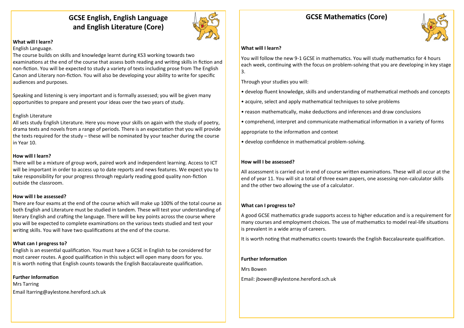## **GCSE English, English Language and English Literature (Core)**



### **What will I learn?**

#### English Language.

The course builds on skills and knowledge learnt during KS3 working towards two examinations at the end of the course that assess both reading and writing skills in fiction and non-fiction. You will be expected to study a variety of texts including prose from The English Canon and Literary non-fiction. You will also be developing your ability to write for specific audiences and purposes.

Speaking and listening is very important and is formally assessed; you will be given many opportunities to prepare and present your ideas over the two years of study.

#### English Literature

All sets study English Literature. Here you move your skills on again with the study of poetry, drama texts and novels from a range of periods. There is an expectation that you will provide the texts required for the study – these will be nominated by your teacher during the course in Year 10.

#### **How will I learn?**

There will be a mixture of group work, paired work and independent learning. Access to ICT will be important in order to access up to date reports and news features. We expect you to take responsibility for your progress through regularly reading good quality non-fiction outside the classroom.

#### **How will I be assessed?**

There are four exams at the end of the course which will make up 100% of the total course as both English and Literature must be studied in tandem. These will test your understanding of literary English and crafting the language. There will be key points across the course where you will be expected to complete examinations on the various texts studied and test your writing skills. You will have two qualifications at the end of the course.

#### **What can I progress to?**

English is an essential qualification. You must have a GCSE in English to be considered for most career routes. A good qualification in this subject will open many doors for you. It is worth noting that English counts towards the English Baccalaureate qualification.

**Further Information**

Mrs Tarring Email ltarring@aylestone.hereford.sch.uk

## **GCSE Mathematics (Core)**



#### **What will I learn?**

You will follow the new 9-1 GCSE in mathematics. You will study mathematics for 4 hours each week, continuing with the focus on problem-solving that you are developing in key stage 3.

Through your studies you will:

- develop fluent knowledge, skills and understanding of mathematical methods and concepts
- acquire, select and apply mathematical techniques to solve problems
- reason mathematically, make deductions and inferences and draw conclusions
- comprehend, interpret and communicate mathematical information in a variety of forms

appropriate to the information and context

• develop confidence in mathematical problem-solving.

#### **How will I be assessed?**

All assessment is carried out in end of course written examinations. These will all occur at the end of year 11. You will sit a total of three exam papers, one assessing non-calculator skills and the other two allowing the use of a calculator.

#### **What can I progress to?**

A good GCSE mathematics grade supports access to higher education and is a requirement for many courses and employment choices. The use of mathematics to model real-life situations is prevalent in a wide array of careers.

It is worth noting that mathematics counts towards the English Baccalaureate qualification.

#### **Further Information**

Mrs Bowen

Email: [jbowen@aylestone.hereford.sch.uk](mailto:jbowen@aylestone.hereford.sch.uk)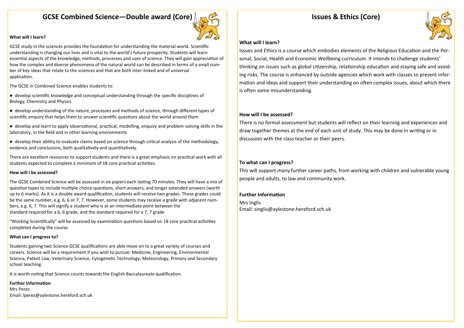## **GCSE Combined Science—Double award (Core)**



#### **What will I learn?**

GCSE study in the sciences provides the foundation for understanding the material world. Scientific understanding is changing our lives and is vital to the world's future prosperity. Students will learn essential aspects of the knowledge, methods, processes and uses of science. They will gain appreciation of how the complex and diverse phenomena of the natural world can be described in terms of a small number of key ideas that relate to the sciences and that are both inter-linked and of universal application.

The GCSE in Combined Science enables students to:

● develop scientific knowledge and conceptual understanding through the specific disciplines of Biology, Chemistry and Physics

● develop understanding of the nature, processes and methods of science, through different types of scientific enquiry that helps them to answer scientific questions about the world around them

● develop and learn to apply observational, practical, modelling, enquiry and problem-solving skills in the laboratory, in the field and in other learning environments

● develop their ability to evaluate claims based on science through critical analysis of the methodology, evidence and conclusions, both qualitatively and quantitatively.

There are excellent resources to support students and there is a great emphasis on practical work with all students expected to complete a minimum of 18 core practical activities.

#### **How will I be assessed?**

The GCSE Combined Science will be assessed in six papers each lasting 70 minutes. They will have a mix of question types to include multiple choice questions, short answers, and longer extended answers (worth up to 6 marks). As it is a double award qualification, students will receive two grades. These grades could be the same number, e.g. 6, 6 or 7, 7. However, some students may receive a grade with adjacent numbers, e.g. 6, 7. This will signify a student who is at an intermediate point between the standard required for a 6, 6 grade, and the standard required for a 7, 7 grade

"Working Scientifically" will be assessed by examination questions based on 18 core practical activities completed during the course.

#### **What can I progress to?**

Students gaining two Science GCSE qualifications are able move on to a great variety of courses and careers. Science will be a requirement if you wish to pursue: Medicine, Engineering, Environmental Science, Patent Law, Veterinary Science, Cytogenetic Technology, Meteorology, Primary and Secondary school teaching.

It is worth noting that Science counts towards the English Baccalaureate qualification.

#### **Further Information**

Mrs Perez Email: lperez@aylestone.hereford.sch.uk

## **Issues & Ethics (Core)**



#### **What will I learn?**

Issues and Ethics is a course which embodies elements of the Religious Education and the Personal, Social, Health and Economic Wellbeing curriculum. It intends to challenge students' thinking on issues such as global citizenship, relationship education and staying safe and avoiding risks. The course is enhanced by outside agencies which work with classes to present information and ideas and support their understanding on often complex issues, about which there is often some misunderstanding.

#### **How will I be assessed?**

There is no formal assessment but students will reflect on their learning and experiences and draw together themes at the end of each unit of study. This may be done in writing or in discussion with the class teacher or their peers.

#### **To what can I progress?**

This will support many further career paths, from working with children and vulnerable young people and adults, to law and community work.

#### **Further Information**

Mrs Inglis Email: singlis@aylestone.hereford.sch.uk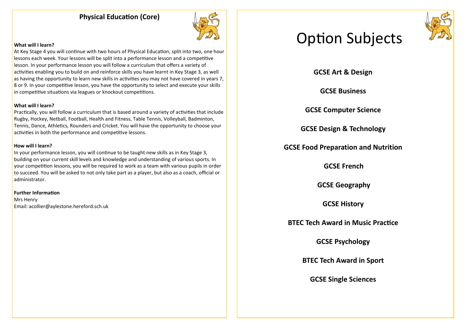## **Physical Education (Core)**



#### **What will I learn?**

At Key Stage 4 you will continue with two hours of Physical Education, split into two, one hour lessons each week. Your lessons will be split into a performance lesson and a competitive lesson. In your performance lesson you will follow a curriculum that offers a variety of activities enabling you to build on and reinforce skills you have learnt in Key Stage 3, as well as having the opportunity to learn new skills in activities you may not have covered in years 7, 8 or 9. In your competitive lesson, you have the opportunity to select and execute your skills in competitive situations via leagues or knockout competitions.

#### **What will I learn?**

Practically, you will follow a curriculum that is based around a variety of activities that include Rugby, Hockey, Netball, Football, Health and Fitness, Table Tennis, Volleyball, Badminton, Tennis, Dance, Athletics, Rounders and Cricket. You will have the opportunity to choose your activities in both the performance and competitive lessons.

#### **How will I learn?**

In your performance lesson, you will continue to be taught new skills as in Key Stage 3, building on your current skill levels and knowledge and understanding of various sports. In your competition lessons, you will be required to work as a team with various pupils in order to succeed. You will be asked to not only take part as a player, but also as a coach, official or administrator.

#### **Further Information**

Mrs Henry Email: acollier@aylestone.hereford.sch.uk

# Option Subjects



**GCSE Art & Design**

**GCSE Business**

**GCSE Computer Science**

**GCSE Design & Technology**

## **GCSE Food Preparation and Nutrition**

**GCSE French**

**GCSE Geography**

**GCSE History**

**BTEC Tech Award in Music Practice**

**GCSE Psychology**

**BTEC Tech Award in Sport**

**GCSE Single Sciences**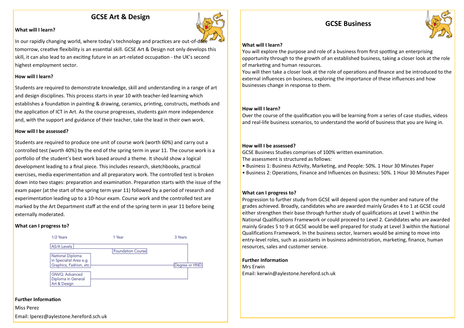## **GCSE Art & Design**



#### **What will I learn?**

In our rapidly changing world, where today's technology and practices are out-of-date tomorrow, creative flexibility is an essential skill. GCSE Art & Design not only develops this skill, it can also lead to an exciting future in an art-related occupation - the UK's second highest employment sector.

#### **How will I learn?**

Students are required to demonstrate knowledge, skill and understanding in a range of art and design disciplines. This process starts in year 10 with teacher-led learning which establishes a foundation in painting & drawing, ceramics, printing, constructs, methods and the application of ICT in Art. As the course progresses, students gain more independence and, with the support and guidance of their teacher, take the lead in their own work.

#### **How will I be assessed?**

Students are required to produce one unit of course work (worth 60%) and carry out a controlled test (worth 40%) by the end of the spring term in year 11. The course work is a portfolio of the student's best work based around a theme. It should show a logical development leading to a final piece. This includes research, sketchbooks, practical exercises, media experimentation and all preparatory work. The controlled test is broken down into two stages: preparation and examination. Preparation starts with the issue of the exam paper (at the start of the spring term year 11) followed by a period of research and experimentation leading up to a 10-hour exam. Course work and the controlled test are marked by the Art Department staff at the end of the spring term in year 11 before being externally moderated.

#### **What can I progress to?**



#### **Further Information**

Miss Perez

Email: lperez@aylestone.hereford.sch.uk

## **GCSE Business**



#### **What will I learn?**

You will explore the purpose and role of a business from first spotting an enterprising opportunity through to the growth of an established business, taking a closer look at the role of marketing and human resources.

You will then take a closer look at the role of operations and finance and be introduced to the external influences on business, exploring the importance of these influences and how businesses change in response to them.

#### **How will I learn?**

Over the course of the qualification you will be learning from a series of case studies, videos and real-life business scenarios, to understand the world of business that you are living in.

#### **How will I be assessed?**

GCSE Business Studies comprises of 100% written examination.

The assessment is structured as follows:

- Business 1: Business Activity, Marketing, and People: 50%. 1 Hour 30 Minutes Paper
- Business 2: Operations, Finance and Influences on Business: 50%. 1 Hour 30 Minutes Paper

#### **What can I progress to?**

Progression to further study from GCSE will depend upon the number and nature of the grades achieved. Broadly, candidates who are awarded mainly Grades 4 to 1 at GCSE could either strengthen their base through further study of qualifications at Level 1 within the National Qualifications Framework or could proceed to Level 2. Candidates who are awarded mainly Grades 5 to 9 at GCSE would be well prepared for study at Level 3 within the National Qualifications Framework. In the business sector, learners would be aiming to move into entry-level roles, such as assistants in business administration, marketing, finance, human resources, sales and customer service.

#### **Further Information**

Mrs Erwin Email: kerwin@aylestone.hereford.sch.uk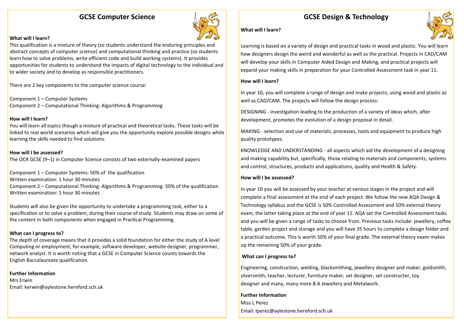## **GCSE Computer Science**



#### **What will I learn?**

This qualification is a mixture of theory (so students understand the enduring principles and abstract concepts of computer science) and computational thinking and practice (so students learn how to solve problems, write efficient code and build working systems). It provides opportunities for students to understand the impacts of digital technology to the individual and to wider society and to develop as responsible practitioners.

There are 2 key components to the computer science course:

Component 1 – Computer Systems Component 2 – Computational Thinking: Algorithms & Programming

#### **How will I learn?**

You will learn all topics though a mixture of practical and theoretical tasks. These tasks will be linked to real world scenarios which will give you the opportunity explore possible designs while learning the skills needed to find solutions.

#### **How will I be assessed?**

The OCR GCSE (9–1) in Computer Science consists of two externally-examined papers

Component 1 – Computer Systems: 50% of the qualification Written examination: 1 hour 30 minutes Component 2 – Computational Thinking: Algorithms & Programming: 50% of the qualification Written examination: 1 hour 30 minutes

Students will also be given the opportunity to undertake a programming task, either to a specification or to solve a problem, during their course of study. Students may draw on some of the content in both components when engaged in Practical Programming.

#### **What can I progress to?**

The depth of coverage means that it provides a solid foundation for either the study of A level Computing or employment, for example, software developer, website designer, programmer, network analyst. It is worth noting that a GCSE in Computer Science counts towards the English Baccalaureate qualification.

**Further Information** Mrs Erwin Email: kerwin@aylestone.hereford.sch.uk

## **GCSE Design & Technology**



#### **What will I learn?**

Learning is based on a variety of design and practical tasks in wood and plastic. You will learn how designers design the weird and wonderful as well as the practical. Projects in CAD/CAM will develop your skills in Computer Aided Design and Making, and practical projects will expand your making skills in preparation for your Controlled Assessment task in year 11.

#### **How will I learn?**

In year 10, you will complete a range of design and make projects, using wood and plastic as well as CAD/CAM. The projects will follow the design process:

DESIGNING - investigation leading to the production of a variety of ideas which, after development, promotes the evolution of a design proposal in detail.

MAKING - selection and use of materials, processes, tools and equipment to produce high quality prototypes.

KNOWLEDGE AND UNDERSTANDING - all aspects which aid the development of a designing and making capability but, specifically, those relating to materials and components, systems and control, structures, products and applications, quality and Health & Safety.

#### **How will I be assessed?**

In year 10 you will be assessed by your teacher at various stages in the project and will complete a final assessment at the end of each project. We follow the new AQA Design & Technology syllabus and the GCSE is 50% Controlled Assessment and 50% external theory exam, the latter taking place at the end of year 11. AQA set the Controlled Assessment tasks and you will be given a range of tasks to choose from. Previous tasks include: jewellery, coffee table, garden project and storage and you will have 35 hours to complete a design folder and a practical outcome. This is worth 50% of your final grade. The external theory exam makes up the remaining 50% of your grade.

#### **What can I progress to?**

Engineering, construction, welding, blacksmithing, jewellery designer and maker, goldsmith, silversmith, teacher, lecturer, furniture maker, set designer, set constructer, toy designer and many, many more B.A Jewellery and Metalwork.

**Further Information** Miss L Perez Email: lperez@aylestone.hereford.sch.uk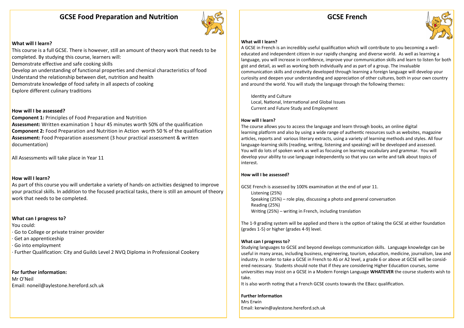## **GCSE Food Preparation and Nutrition**



#### **What will I learn?**

This course is a full GCSE. There is however, still an amount of theory work that needs to be completed. By studying this course, learners will:

Demonstrate effective and safe cooking skills

Develop an understanding of functional properties and chemical characteristics of food

Understand the relationship between diet, nutrition and health

Demonstrate knowledge of food safety in all aspects of cooking

Explore different culinary traditions

#### **How will I be assessed?**

**Component 1:** Principles of Food Preparation and Nutrition **Assessment:** Written examination 1 hour 45 minutes worth 50% of the qualification **Component 2:** Food Preparation and Nutrition in Action worth 50 % of the qualification **Assessment:** Food Preparation assessment (3 hour practical assessment & written documentation)

All Assessments will take place in Year 11

#### **How will I learn?**

As part of this course you will undertake a variety of hands-on activities designed to improve your practical skills. In addition to the focused practical tasks, there is still an amount of theory work that needs to be completed.

#### **What can I progress to?**

You could: · Go to College or private trainer provider · Get an apprenticeship · Go into employment · Further Qualification: City and Guilds Level 2 NVQ Diploma in Professional Cookery

#### **For further information:**

Mr O'Neil Email: noneil@aylestone.hereford.sch.uk

## **GCSE French**



#### **What will I learn?**

A GCSE in French is an incredibly useful qualification which will contribute to you becoming a welleducated and independent citizen in our rapidly changing and diverse world. As well as learning a language, you will increase in confidence, improve your communication skills and learn to listen for both gist and detail, as well as working both individually and as part of a group. The invaluable communication skills and creativity developed through learning a foreign language will develop your curiosity and deepen your understanding and appreciation of other cultures, both in your own country and around the world. You will study the language through the following themes:

Identity and Culture Local, National, International and Global Issues Current and Future Study and Employment

#### **How will I learn?**

The course allows you to access the language and learn through books, an online digital learning platform and also by using a wide range of authentic resources such as websites, magazine articles, reports and various literary extracts, using a variety of learning methods and styles. All four language-learning skills (reading, writing, listening and speaking) will be developed and assessed. You will do lots of spoken work as well as focusing on learning vocabulary and grammar. You will develop your ability to use language independently so that you can write and talk about topics of interest.

#### **How will I be assessed?**

GCSE French is assessed by 100% examination at the end of year 11. Listening (25%) Speaking (25%) – role play, discussing a photo and general conversation Reading (25%) Writing (25%) – writing in French, including translation

The 1-9 grading system will be applied and there is the option of taking the GCSE at either foundation (grades 1-5) or higher (grades 4-9) level.

#### **What can I progress to?**

Studying languages to GCSE and beyond develops communication skills. Language knowledge can be useful in many areas, including business, engineering, tourism, education, medicine, journalism, law and industry. In order to take a GCSE in French to AS or A2 level, a grade 6 or above at GCSE will be considered necessary. Students should note that if they are considering Higher Education courses, some universities may insist on a GCSE in a Modern Foreign Language **WHATEVER** the course students wish to take.

It is also worth noting that a French GCSE counts towards the EBacc qualification.

#### **Further Information** Mrs Erwin Email: kerwin@aylestone.hereford.sch.uk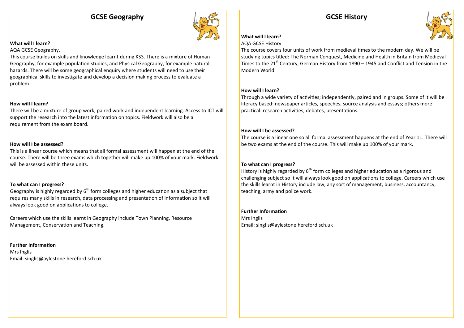## **GCSE Geography**



#### **What will I learn?**

#### AQA GCSE Geography.

This course builds on skills and knowledge learnt during KS3. There is a mixture of Human Geography, for example population studies, and Physical Geography, for example natural hazards. There will be some geographical enquiry where students will need to use their geographical skills to investigate and develop a decision making process to evaluate a problem.

#### **How will I learn?**

There will be a mixture of group work, paired work and independent learning. Access to ICT will support the research into the latest information on topics. Fieldwork will also be a requirement from the exam board.

#### **How will I be assessed?**

This is a linear course which means that all formal assessment will happen at the end of the course. There will be three exams which together will make up 100% of your mark. Fieldwork will be assessed within these units.

#### **To what can I progress?**

Geography is highly regarded by  $6<sup>th</sup>$  form colleges and higher education as a subject that requires many skills in research, data processing and presentation of information so it will always look good on applications to college.

Careers which use the skills learnt in Geography include Town Planning, Resource Management, Conservation and Teaching.

**Further Information** Mrs Inglis Email: singlis@aylestone.hereford.sch.uk

## **GCSE History**



#### **What will I learn?**

#### AQA GCSE History

The course covers four units of work from medieval times to the modern day. We will be studying topics titled: The Norman Conquest, Medicine and Health in Britain from Medieval Times to the 21<sup>st</sup> Century, German History from 1890 – 1945 and Conflict and Tension in the Modern World.

#### **How will I learn?**

Through a wide variety of activities; independently, paired and in groups. Some of it will be literacy based: newspaper articles, speeches, source analysis and essays; others more practical: research activities, debates, presentations.

#### **How will I be assessed?**

The course is a linear one so all formal assessment happens at the end of Year 11. There will be two exams at the end of the course. This will make up 100% of your mark.

#### **To what can I progress?**

History is highly regarded by  $6<sup>th</sup>$  form colleges and higher education as a rigorous and challenging subject so it will always look good on applications to college. Careers which use the skills learnt in History include law, any sort of management, business, accountancy, teaching, army and police work.

### **Further Information**

Mrs Inglis Email: singlis@aylestone.hereford.sch.uk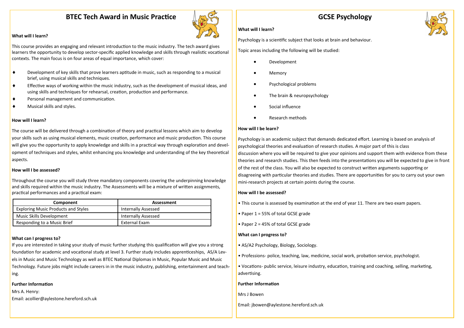## **BTEC Tech Award in Music Practice**



#### **What will I learn?**

This course provides an engaging and relevant introduction to the music industry. The tech award gives learners the opportunity to develop sector-specific applied knowledge and skills through realistic vocational contexts. The main focus is on four areas of equal importance, which cover:

- Development of key skills that prove learners aptitude in music, such as responding to a musical brief, using musical skills and techniques.
- Effective ways of working within the music industry, such as the development of musical ideas, and using skills and techniques for rehearsal, creation, production and performance.
- Personal management and communication.
- Musical skills and styles.

#### **How will I learn?**

The course will be delivered through a combination of theory and practical lessons which aim to develop your skills such as using musical elements, music creation, performance and music production. This course will give you the opportunity to apply knowledge and skills in a practical way through exploration and development of techniques and styles, whilst enhancing you knowledge and understanding of the key theoretical aspects.

#### **How will I be assessed?**

Throughout the course you will study three mandatory components covering the underpinning knowledge and skills required within the music industry. The Assessments will be a mixture of written assignments, practical performances and a practical exam:

| Component                                  | Assessment                 |
|--------------------------------------------|----------------------------|
| <b>Exploring Music Products and Styles</b> | <b>Internally Assessed</b> |
| Music Skills Development                   | <b>Internally Assessed</b> |
| Responding to a Music Brief                | External Exam              |

#### **What can I progress to?**

If you are interested in taking your study of music further studying this qualification will give you a strong foundation for academic and vocational study at level 3. Further study includes apprenticeships, AS/A Levels in Music and Music Technology as well as BTEC National Diplomas in Music, Popular Music and Music Technology. Future jobs might include careers in in the music industry, publishing, entertainment and teaching.

#### **Further Information**

Mrs A. Henry: Email: acollier@aylestone.hereford.sch.uk

## **GCSE Psychology**

#### **What will I learn?**

Psychology is a scientific subject that looks at brain and behaviour.

Topic areas including the following will be studied:

- Development
- Memory
- Psychological problems
- The brain & neuropsychology
- Social influence
- Research methods

#### **How will I be learn?**

Psychology is an academic subject that demands dedicated effort. Learning is based on analysis of psychological theories and evaluation of research studies. A major part of this is class discussion where you will be required to give your opinions and support them with evidence from these theories and research studies. This then feeds into the presentations you will be expected to give in front of the rest of the class. You will also be expected to construct written arguments supporting or disagreeing with particular theories and studies. There are opportunities for you to carry out your own mini-research projects at certain points during the course.

#### **How will I be assessed?**

- This course is assessed by examination at the end of year 11. There are two exam papers.
- Paper 1 = 55% of total GCSE grade
- Paper 2 = 45% of total GCSE grade

#### **What can I progress to?**

- AS/A2 Psychology, Biology, Sociology.
- Professions- police, teaching, law, medicine, social work, probation service, psychologist.
- Vocations- public service, leisure industry, education, training and coaching, selling, marketing, advertising.

#### **Further Information**

#### Mrs J Bowen

Email: jbowen@aylestone.hereford.sch.uk